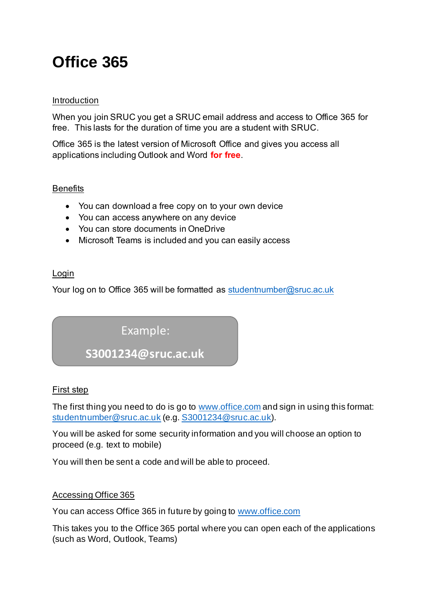# **Office 365**

# Introduction

When you join SRUC you get a SRUC email address and access to Office 365 for free. This lasts for the duration of time you are a student with SRUC.

Office 365 is the latest version of Microsoft Office and gives you access all applications including Outlook and Word **for free**.

# **Benefits**

- You can download a free copy on to your own device
- You can access anywhere on any device
- You can store documents in OneDrive
- Microsoft Teams is included and you can easily access

# Login

Your log on to Office 365 will be formatted as student number@sruc.ac.uk

# Example:

# **S3001234@sruc.ac.uk**

#### First step

The first thing you need to do is go to [www.office.com](https://www.office.com/) and sign in using this format: [studentnumber@sruc.ac.uk](mailto:studentnumber@sruc.ac.uk) (e.g[. S3001234@sruc.ac.uk](mailto:S3001234@sruc.ac.uk)).

You will be asked for some security information and you will choose an option to proceed (e.g. text to mobile)

You will then be sent a code and will be able to proceed.

# Accessing Office 365

You can access Office 365 in future by going to [www.office.com](http://www.office.com/)

This takes you to the Office 365 portal where you can open each of the applications (such as Word, Outlook, Teams)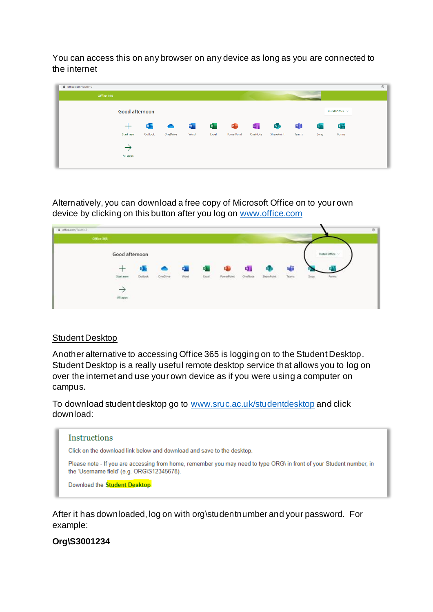You can access this on any browser on any device as long as you are connected to the internet

| fil office.com/?auth=2 |                                  |           |           |             |                |            |         |              |       |              |                       | $_{\oplus}$ |
|------------------------|----------------------------------|-----------|-----------|-------------|----------------|------------|---------|--------------|-------|--------------|-----------------------|-------------|
| Office 365             |                                  |           |           |             |                |            |         |              |       |              |                       |             |
|                        | Good afternoon                   |           |           |             |                |            |         |              |       |              | Install Office $\vee$ |             |
|                        | $\hspace{0.1mm} +\hspace{0.1mm}$ | $\bullet$ | $\bullet$ | $W_{\perp}$ | $\mathbf{x}$ . | P.         | N,      | $\mathbf{s}$ | Ŵ     | $S^{\infty}$ | 唱                     |             |
|                        | <b>Start new</b>                 | Outlook   | OneDrive  | Word        | Excel          | PowerPoint | OneNote | SharePoint   | Teams | Sway         | Forms                 |             |
|                        | $\rightarrow$                    |           |           |             |                |            |         |              |       |              |                       |             |
|                        | All apps                         |           |           |             |                |            |         |              |       |              |                       |             |
|                        |                                  |           |           |             |                |            |         |              |       |              |                       |             |

Alternatively, you can download a free copy of Microsoft Office on to your own device by clicking on this button after you log on [www.office.com](http://www.office.com/)

| # office.com/fauth=2 |         |          |      |       |            |         |            |       |      |                |
|----------------------|---------|----------|------|-------|------------|---------|------------|-------|------|----------------|
| Office 365           |         |          |      |       |            |         |            |       |      |                |
| Good afternoon       |         |          |      |       |            |         |            |       |      | Install Office |
|                      |         | ◓        | W.   | X.    | 0          | 47      | R)         | 噛     |      |                |
| Start new            | Outlook | OneDrive | Word | Excel | PowerPoint | OneNote | SharePoint | Teams | Sway | Forms          |
|                      |         |          |      |       |            |         |            |       |      |                |
| All apps<br>x        |         |          |      |       |            |         |            |       |      |                |

#### Student Desktop

Another alternative to accessing Office 365 is logging on to the Student Desktop. Student Desktop is a really useful remote desktop service that allows you to log on over the internet and use your own device as if you were using a computer on campus.

To download student desktop go to [www.sruc.ac.uk/studentdesktop](http://www.sruc.ac.uk/studentdesktop) and click download:



After it has downloaded, log on with org\studentnumber and your password. For example:

# **Org\S3001234**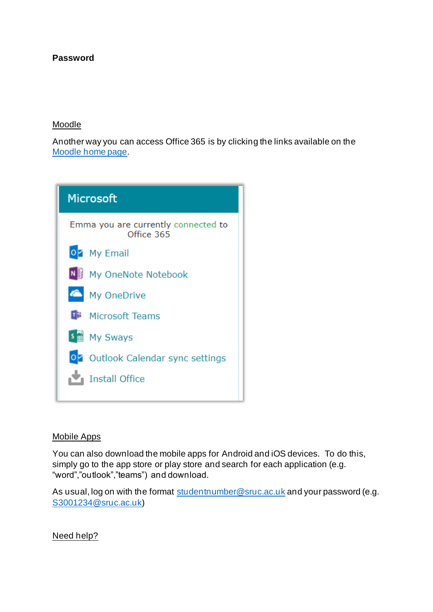# **Password**

#### Moodle

Another way you can access Office 365 is by clicking the links available on the [Moodle home page.](https://moodle.sruc.ac.uk/)



#### Mobile Apps

You can also download the mobile apps for Android and iOS devices. To do this, simply go to the app store or play store and search for each application (e.g. "word","outlook","teams") and download.

As usual, log on with the format [studentnumber@sruc.ac.uk](mailto:studentnumber@sruc.ac.uk) and your password (e.g. [S3001234@sruc.ac.uk\)](mailto:S3001234@sruc.ac.uk)

Need help?